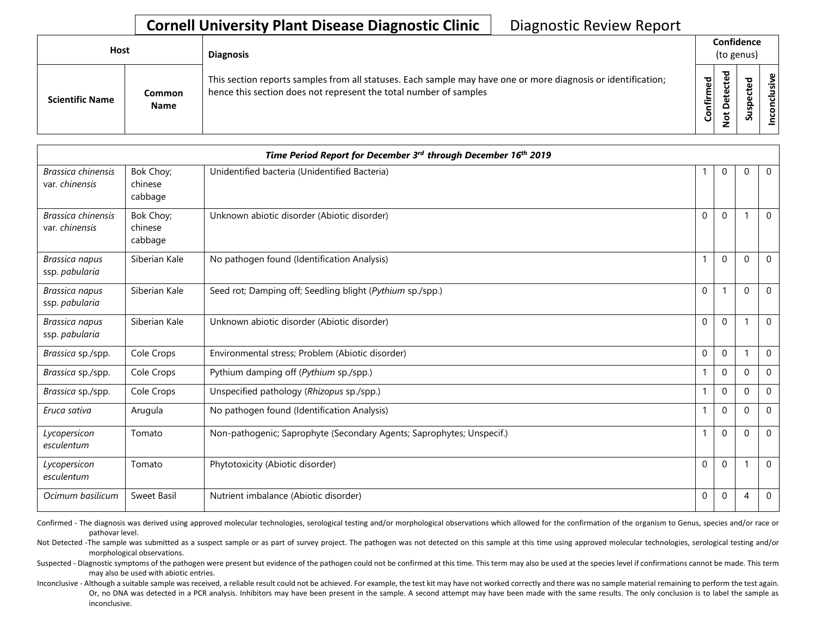## **Cornell University Plant Disease Diagnostic Clinic | Diagnostic Review Report**

| Host |                        |                       | <b>Diagnosis</b>                                                                                                                                                                   |                                      | Confidence<br>(to genus) |   |                 |
|------|------------------------|-----------------------|------------------------------------------------------------------------------------------------------------------------------------------------------------------------------------|--------------------------------------|--------------------------|---|-----------------|
|      | <b>Scientific Name</b> | Common<br><b>Name</b> | This section reports samples from all statuses. Each sample may have one or more diagnosis or identification;<br>hence this section does not represent the total number of samples | ъ<br>$\mathbf \omega$<br>Ē<br>튐<br>8 | ᇴ                        | S | clusive<br>ncon |

| Time Period Report for December 3rd through December 16th 2019 |                                 |                                                                       |             |              |          |              |  |
|----------------------------------------------------------------|---------------------------------|-----------------------------------------------------------------------|-------------|--------------|----------|--------------|--|
| Brassica chinensis<br>var. chinensis                           | Bok Choy;<br>chinese<br>cabbage | Unidentified bacteria (Unidentified Bacteria)                         |             | $\mathbf 0$  | $\Omega$ | $\mathbf 0$  |  |
| Brassica chinensis<br>var. chinensis                           | Bok Choy;<br>chinese<br>cabbage | Unknown abiotic disorder (Abiotic disorder)                           | $\mathbf 0$ | $\Omega$     |          | $\mathbf 0$  |  |
| Brassica napus<br>ssp. pabularia                               | Siberian Kale                   | No pathogen found (Identification Analysis)                           |             | $\Omega$     | $\Omega$ | $\mathbf 0$  |  |
| Brassica napus<br>ssp. pabularia                               | Siberian Kale                   | Seed rot; Damping off; Seedling blight (Pythium sp./spp.)             | $\mathbf 0$ |              | $\Omega$ | $\mathbf 0$  |  |
| Brassica napus<br>ssp. pabularia                               | Siberian Kale                   | Unknown abiotic disorder (Abiotic disorder)                           | $\mathbf 0$ | $\mathbf 0$  |          | $\Omega$     |  |
| Brassica sp./spp.                                              | Cole Crops                      | Environmental stress; Problem (Abiotic disorder)                      | $\mathbf 0$ | $\mathbf 0$  |          | $\mathbf 0$  |  |
| Brassica sp./spp.                                              | Cole Crops                      | Pythium damping off (Pythium sp./spp.)                                |             | $\mathbf{0}$ | $\Omega$ | $\mathbf 0$  |  |
| Brassica sp./spp.                                              | Cole Crops                      | Unspecified pathology (Rhizopus sp./spp.)                             |             | $\Omega$     | $\Omega$ | $\mathbf 0$  |  |
| Eruca sativa                                                   | Arugula                         | No pathogen found (Identification Analysis)                           |             | $\Omega$     | $\Omega$ | $\mathbf{0}$ |  |
| Lycopersicon<br>esculentum                                     | Tomato                          | Non-pathogenic; Saprophyte (Secondary Agents; Saprophytes; Unspecif.) |             | $\mathbf 0$  | $\Omega$ | $\mathbf 0$  |  |
| Lycopersicon<br>esculentum                                     | Tomato                          | Phytotoxicity (Abiotic disorder)                                      | $\mathbf 0$ | $\mathbf 0$  |          | $\mathbf 0$  |  |
| Ocimum basilicum                                               | Sweet Basil                     | Nutrient imbalance (Abiotic disorder)                                 | 0           | $\mathbf 0$  | 4        | $\mathbf 0$  |  |

Confirmed - The diagnosis was derived using approved molecular technologies, serological testing and/or morphological observations which allowed for the confirmation of the organism to Genus, species and/or race or pathovar level.

Not Detected -The sample was submitted as a suspect sample or as part of survey project. The pathogen was not detected on this sample at this time using approved molecular technologies, serological testing and/or morphological observations.

Suspected - Diagnostic symptoms of the pathogen were present but evidence of the pathogen could not be confirmed at this time. This term may also be used at the species level if confirmations cannot be made. This term may also be used with abiotic entries.

Or, no DNA was detected in a PCR analysis. Inhibitors may have been present in the sample. A second attempt may have been made with the same results. The only conclusion is to label the sample as Inconclusive - Although a suitable sample was received, a reliable result could not be achieved. For example, the test kit may have not worked correctly and there was no sample material remaining to perform the test again. inconclusive.